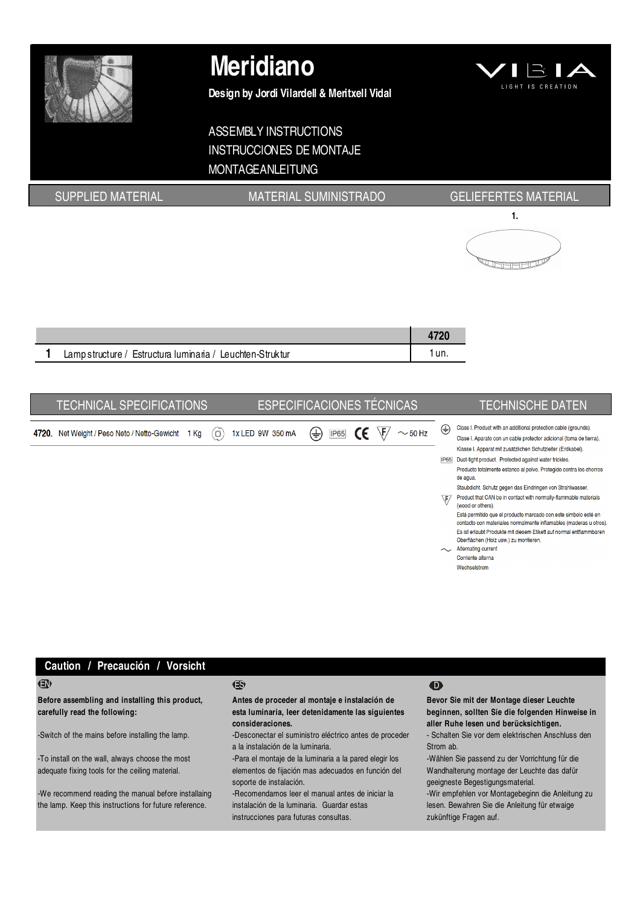

# Meridiano

Design by Jordi Vilardell & Meritxell Vidal



# ASSEMBLY INSTRUCTIONS INSTRUCCIONES DE MONTAJE MONTAGEANLEITUNG

# SUPPLIED MATERIAL **MATERIAL SUMINISTRADO** GELIEFERTES MATERIAL



| Lamp structure / Estructura luminaria / Leuchten-Struktur |  |
|-----------------------------------------------------------|--|

|       | <b>TECHNICAL SPECIFICATIONS</b>        |    |                            | <b>ESPECIFICACIONES TÉCNICAS</b> |                    | <b>TECHNISCHE DATEN</b>                                                                                                                                                                                                                                                                                                                                                                                                                                                                                                                                                                                                                                                                                                                                                                                                                             |
|-------|----------------------------------------|----|----------------------------|----------------------------------|--------------------|-----------------------------------------------------------------------------------------------------------------------------------------------------------------------------------------------------------------------------------------------------------------------------------------------------------------------------------------------------------------------------------------------------------------------------------------------------------------------------------------------------------------------------------------------------------------------------------------------------------------------------------------------------------------------------------------------------------------------------------------------------------------------------------------------------------------------------------------------------|
| 4720. | Net Weight / Peso Neto / Netto-Gewicht | Кg | 1x LED 9W 350 mA<br>$\Box$ | ⇔<br><b>IP65</b><br>CE           | ١E<br>$\sim$ 50 Hz | Class I. Product with an additional protection cable (grounds).<br>⊕<br>Clase I. Aparato con un cable protector adicional (toma de tierra).<br>Klasse I. Apparat mit zusätzlichen Schutzleiter (Erdkabel).<br>Dust-tight product. Protected against water trickles.<br><b>IP65</b><br>Producto totalmente estanco al polvo. Protegido contra los chorros<br>de agua.<br>Staubdicht. Schutz gegen das Eindringen von Strahlwasser.<br>Product that CAN be in contact with normally-flammable materials<br>$\bar{F}$<br>(wood or others).<br>Está permitido que el producto marcado con este simbolo esté en<br>contacto con materiales normalmente inflamables (maderas u otros).<br>Es ist erlaubt Produkte mit diesem Etikett auf normal entflammbaren<br>Oberflächen (Holz usw.) zu montieren.<br><b>Alternating current</b><br>Corriente alterna |

Wechselstrom

# Caution / Precaución / Vorsicht

Before assembling and installing this product, carefully read the following:

-To install on the wall, always choose the most adequate fixing tools for the ceiling material.

-We recommend reading the manual before installaing the lamp. Keep this instructions for future reference.

### EN ES D

Antes de proceder al montaje e instalación de esta luminaria, leer detenidamente las siguientes consideraciones.

-Switch of the mains before installing the lamp. - Desconectar el suministro eléctrico antes de proceder a la instalación de la luminaria.

> -Para el montaje de la luminaria a la pared elegir los elementos de fijación mas adecuados en función del soporte de instalación.

-Recomendamos leer el manual antes de iniciar la instalación de la luminaria. Guardar estas instrucciones para futuras consultas.

Bevor Sie mit der Montage dieser Leuchte beginnen, sollten Sie die folgenden Hinweise in aller Ruhe lesen und berücksichtigen.

- Schalten Sie vor dem elektrischen Anschluss den Strom ab.

-Wählen Sie passend zu der Vorrichtung für die Wandhalterung montage der Leuchte das dafür geeigneste Begestigungsmaterial.

-Wir empfehlen vor Montagebeginn die Anleitung zu lesen. Bewahren Sie die Anleitung für etwaige zukünftige Fragen auf.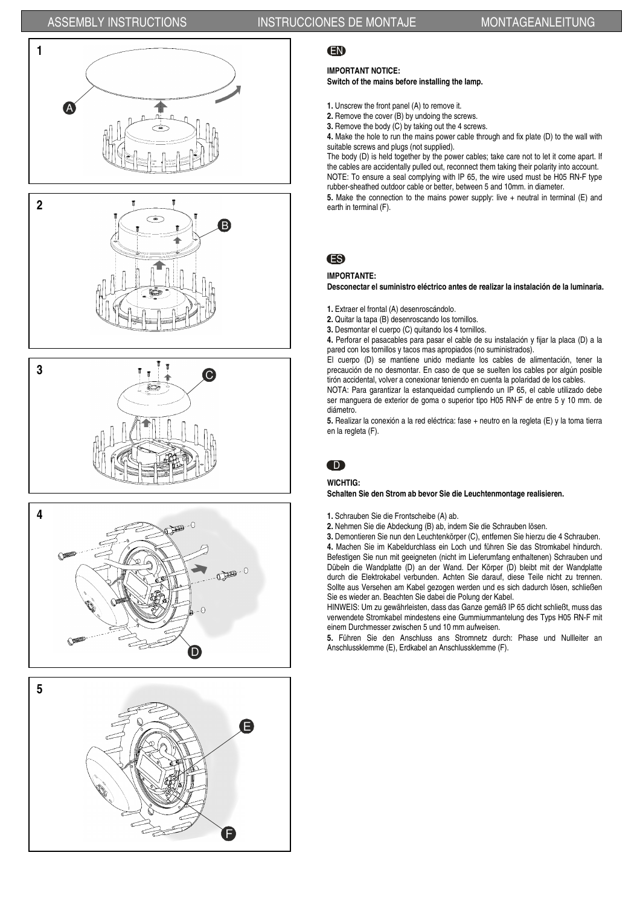# ASSEMBLY INSTRUCTIONS INSTRUCCIONES DE MONTAJE MONTAGEANLEITUNG











# EN

### IMPORTANT NOTICE:

### Switch of the mains before installing the lamp.

- 1. Unscrew the front panel (A) to remove it.
- 2. Remove the cover (B) by undoing the screws.
- 3. Remove the body (C) by taking out the 4 screws.

4. Make the hole to run the mains power cable through and fix plate (D) to the wall with suitable screws and plugs (not supplied).

The body (D) is held together by the power cables; take care not to let it come apart. If the cables are accidentally pulled out, reconnect them taking their polarity into account. NOTE: To ensure a seal complying with IP 65, the wire used must be H05 RN-F type rubber-sheathed outdoor cable or better, between 5 and 10mm. in diameter.

5. Make the connection to the mains power supply: live + neutral in terminal (E) and

# ES

### IMPORTANTE:

Desconectar el suministro eléctrico antes de realizar la instalación de la luminaria.

1. Extraer el frontal (A) desenroscándolo.

- 2. Quitar la tapa (B) desenroscando los tornillos.
- 3. Desmontar el cuerpo (C) quitando los 4 tornillos.

4. Perforar el pasacables para pasar el cable de su instalación y fijar la placa (D) a la pared con los tornillos y tacos mas apropiados (no suministrados).

El cuerpo (D) se mantiene unido mediante los cables de alimentación, tener la precaución de no desmontar. En caso de que se suelten los cables por algún posible tirón accidental, volver a conexionar teniendo en cuenta la polaridad de los cables.

NOTA: Para garantizar la estanqueidad cumpliendo un IP 65, el cable utilizado debe ser manguera de exterior de goma o superior tipo H05 RN-F de entre 5 y 10 mm. de diámetro.

5. Realizar la conexión a la red eléctrica: fase + neutro en la regleta (E) y la toma tierra en la regleta (F).

# D

### WICHTIG:

Schalten Sie den Strom ab bevor Sie die Leuchtenmontage realisieren.

- 1. Schrauben Sie die Frontscheibe (A) ab.
- 2. Nehmen Sie die Abdeckung (B) ab, indem Sie die Schrauben lösen.

3. Demontieren Sie nun den Leuchtenkörper (C), entfernen Sie hierzu die 4 Schrauben. 4. Machen Sie im Kabeldurchlass ein Loch und führen Sie das Stromkabel hindurch. Befestigen Sie nun mit geeigneten (nicht im Lieferumfang enthaltenen) Schrauben und Dübeln die Wandplatte (D) an der Wand. Der Körper (D) bleibt mit der Wandplatte durch die Elektrokabel verbunden. Achten Sie darauf, diese Teile nicht zu trennen. Sollte aus Versehen am Kabel gezogen werden und es sich dadurch lösen, schließen Sie es wieder an. Beachten Sie dabei die Polung der Kabel.

HINWEIS: Um zu gewährleisten, dass das Ganze gemäß IP 65 dicht schließt, muss das verwendete Stromkabel mindestens eine Gummiummantelung des Typs H05 RN-F mit einem Durchmesser zwischen 5 und 10 mm aufweisen.

5. Führen Sie den Anschluss ans Stromnetz durch: Phase und Nullleiter an Anschlussklemme (E), Erdkabel an Anschlussklemme (F).